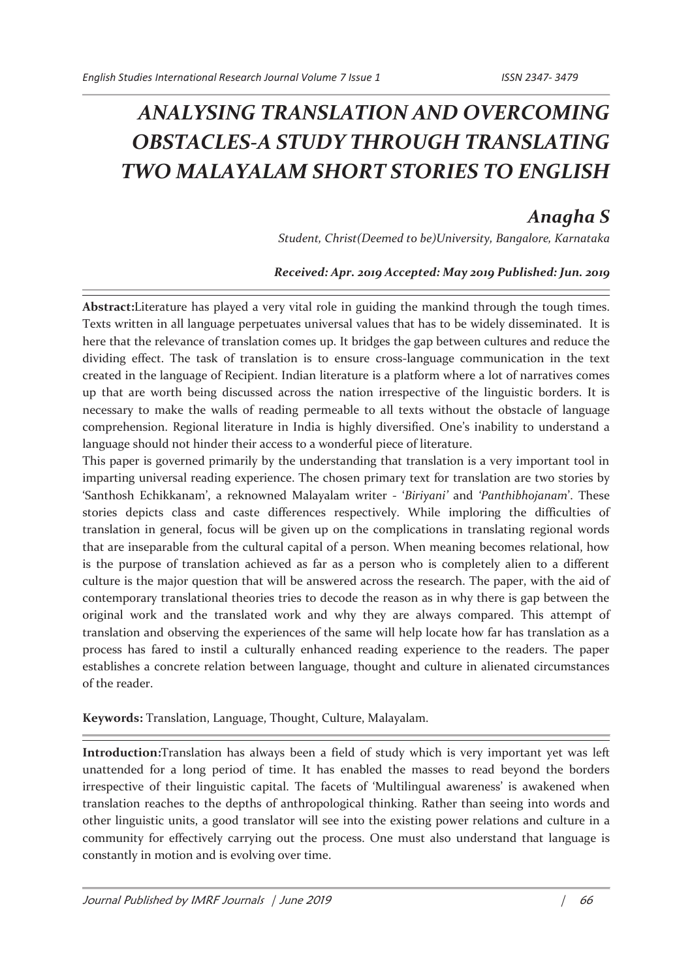# *ANALYSING TRANSLATION AND OVERCOMING OBSTACLES-A STUDY THROUGH TRANSLATING TWO MALAYALAM SHORT STORIES TO ENGLISH*

# *Anagha S*

*Student, Christ(Deemed to be)University, Bangalore, Karnataka*

### *Received: Apr. 2019 Accepted: May 2019 Published: Jun. 2019*

**Abstract:**Literature has played a very vital role in guiding the mankind through the tough times. Texts written in all language perpetuates universal values that has to be widely disseminated. It is here that the relevance of translation comes up. It bridges the gap between cultures and reduce the dividing effect. The task of translation is to ensure cross-language communication in the text created in the language of Recipient. Indian literature is a platform where a lot of narratives comes up that are worth being discussed across the nation irrespective of the linguistic borders. It is necessary to make the walls of reading permeable to all texts without the obstacle of language comprehension. Regional literature in India is highly diversified. One's inability to understand a language should not hinder their access to a wonderful piece of literature.

This paper is governed primarily by the understanding that translation is a very important tool in imparting universal reading experience. The chosen primary text for translation are two stories by 'Santhosh Echikkanam', a reknowned Malayalam writer - '*Biriyani'* and *'Panthibhojanam*'. These stories depicts class and caste differences respectively. While imploring the difficulties of translation in general, focus will be given up on the complications in translating regional words that are inseparable from the cultural capital of a person. When meaning becomes relational, how is the purpose of translation achieved as far as a person who is completely alien to a different culture is the major question that will be answered across the research. The paper, with the aid of contemporary translational theories tries to decode the reason as in why there is gap between the original work and the translated work and why they are always compared. This attempt of translation and observing the experiences of the same will help locate how far has translation as a process has fared to instil a culturally enhanced reading experience to the readers. The paper establishes a concrete relation between language, thought and culture in alienated circumstances of the reader.

**Keywords:** Translation, Language, Thought, Culture, Malayalam.

**Introduction:**Translation has always been a field of study which is very important yet was left unattended for a long period of time. It has enabled the masses to read beyond the borders irrespective of their linguistic capital. The facets of 'Multilingual awareness' is awakened when translation reaches to the depths of anthropological thinking. Rather than seeing into words and other linguistic units, a good translator will see into the existing power relations and culture in a community for effectively carrying out the process. One must also understand that language is constantly in motion and is evolving over time.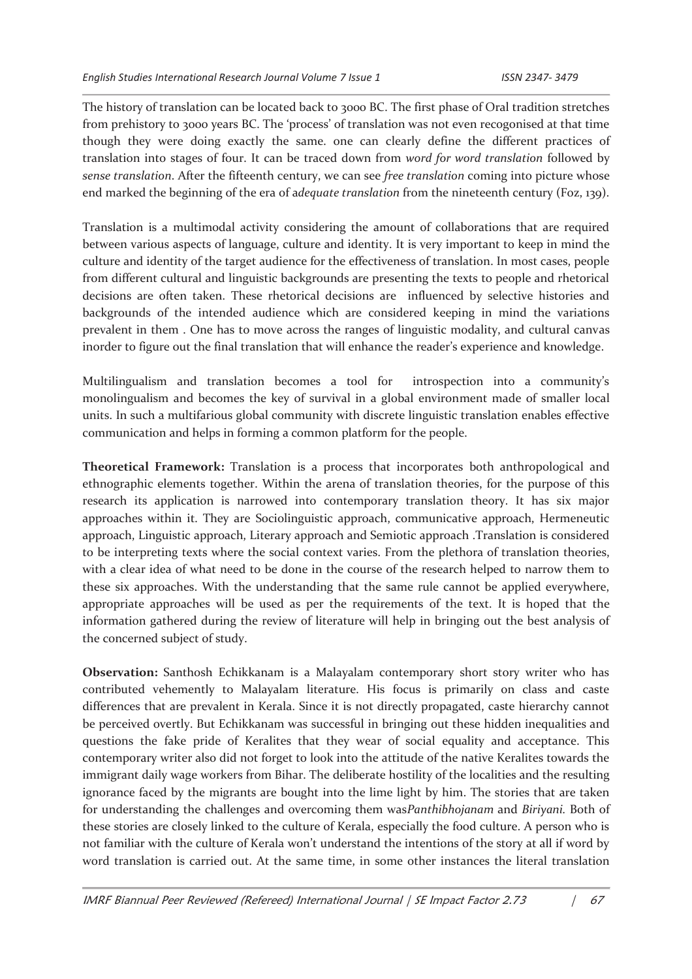The history of translation can be located back to 3000 BC. The first phase of Oral tradition stretches from prehistory to 3000 years BC. The 'process' of translation was not even recogonised at that time though they were doing exactly the same. one can clearly define the different practices of translation into stages of four. It can be traced down from *word for word translation* followed by *sense translation*. After the fifteenth century, we can see *free translation* coming into picture whose end marked the beginning of the era of a*dequate translation* from the nineteenth century (Foz, 139).

Translation is a multimodal activity considering the amount of collaborations that are required between various aspects of language, culture and identity. It is very important to keep in mind the culture and identity of the target audience for the effectiveness of translation. In most cases, people from different cultural and linguistic backgrounds are presenting the texts to people and rhetorical decisions are often taken. These rhetorical decisions are influenced by selective histories and backgrounds of the intended audience which are considered keeping in mind the variations prevalent in them . One has to move across the ranges of linguistic modality, and cultural canvas inorder to figure out the final translation that will enhance the reader's experience and knowledge.

Multilingualism and translation becomes a tool for introspection into a community's monolingualism and becomes the key of survival in a global environment made of smaller local units. In such a multifarious global community with discrete linguistic translation enables effective communication and helps in forming a common platform for the people.

**Theoretical Framework:** Translation is a process that incorporates both anthropological and ethnographic elements together. Within the arena of translation theories, for the purpose of this research its application is narrowed into contemporary translation theory. It has six major approaches within it. They are Sociolinguistic approach, communicative approach, Hermeneutic approach, Linguistic approach, Literary approach and Semiotic approach .Translation is considered to be interpreting texts where the social context varies. From the plethora of translation theories, with a clear idea of what need to be done in the course of the research helped to narrow them to these six approaches. With the understanding that the same rule cannot be applied everywhere, appropriate approaches will be used as per the requirements of the text. It is hoped that the information gathered during the review of literature will help in bringing out the best analysis of the concerned subject of study.

**Observation:** Santhosh Echikkanam is a Malayalam contemporary short story writer who has contributed vehemently to Malayalam literature. His focus is primarily on class and caste differences that are prevalent in Kerala. Since it is not directly propagated, caste hierarchy cannot be perceived overtly. But Echikkanam was successful in bringing out these hidden inequalities and questions the fake pride of Keralites that they wear of social equality and acceptance. This contemporary writer also did not forget to look into the attitude of the native Keralites towards the immigrant daily wage workers from Bihar. The deliberate hostility of the localities and the resulting ignorance faced by the migrants are bought into the lime light by him. The stories that are taken for understanding the challenges and overcoming them was*Panthibhojanam* and *Biriyani.* Both of these stories are closely linked to the culture of Kerala, especially the food culture. A person who is not familiar with the culture of Kerala won't understand the intentions of the story at all if word by word translation is carried out. At the same time, in some other instances the literal translation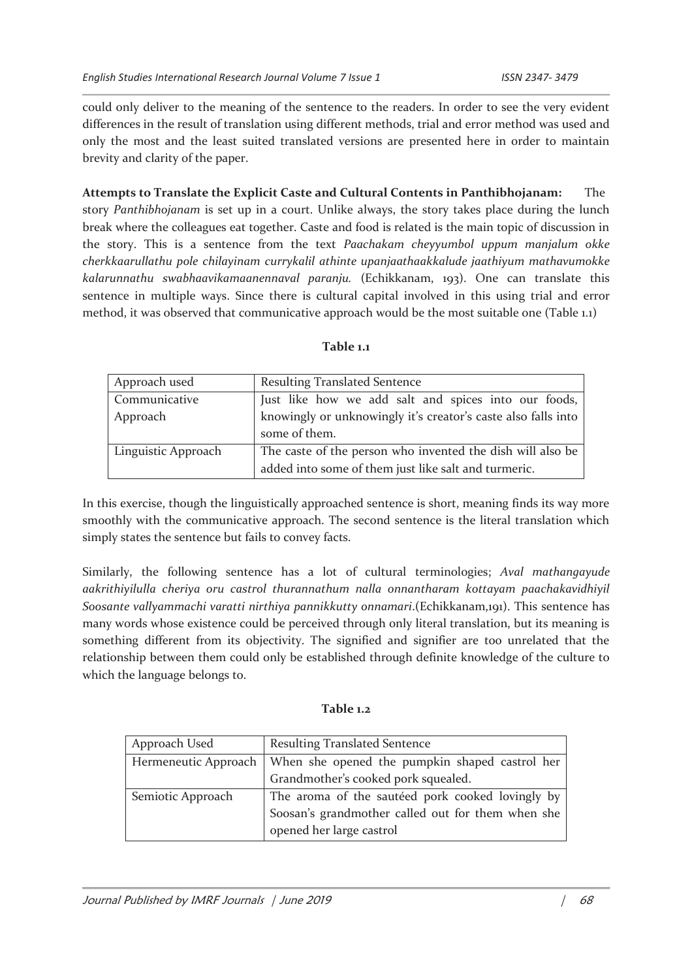could only deliver to the meaning of the sentence to the readers. In order to see the very evident differences in the result of translation using different methods, trial and error method was used and only the most and the least suited translated versions are presented here in order to maintain brevity and clarity of the paper.

**Attempts to Translate the Explicit Caste and Cultural Contents in Panthibhojanam:** The story *Panthibhojanam* is set up in a court. Unlike always, the story takes place during the lunch break where the colleagues eat together. Caste and food is related is the main topic of discussion in the story. This is a sentence from the text *Paachakam cheyyumbol uppum manjalum okke cherkkaarullathu pole chilayinam currykalil athinte upanjaathaakkalude jaathiyum mathavumokke kalarunnathu swabhaavikamaanennaval paranju.* (Echikkanam, 193). One can translate this sentence in multiple ways. Since there is cultural capital involved in this using trial and error method, it was observed that communicative approach would be the most suitable one (Table 1.1)

#### **Table 1.1**

| Approach used       | <b>Resulting Translated Sentence</b>                                           |
|---------------------|--------------------------------------------------------------------------------|
| Communicative       | Just like how we add salt and spices into our foods,                           |
| Approach            | knowingly or unknowingly it's creator's caste also falls into<br>some of them. |
| Linguistic Approach | The caste of the person who invented the dish will also be                     |
|                     | added into some of them just like salt and turmeric.                           |

In this exercise, though the linguistically approached sentence is short, meaning finds its way more smoothly with the communicative approach. The second sentence is the literal translation which simply states the sentence but fails to convey facts.

Similarly, the following sentence has a lot of cultural terminologies; *Aval mathangayude aakrithiyilulla cheriya oru castrol thurannathum nalla onnantharam kottayam paachakavidhiyil Soosante vallyammachi varatti nirthiya pannikkutty onnamari*.(Echikkanam,191). This sentence has many words whose existence could be perceived through only literal translation, but its meaning is something different from its objectivity. The signified and signifier are too unrelated that the relationship between them could only be established through definite knowledge of the culture to which the language belongs to.

#### **Table 1.2**

| Approach Used     | <b>Resulting Translated Sentence</b>                                  |
|-------------------|-----------------------------------------------------------------------|
|                   | Hermeneutic Approach   When she opened the pumpkin shaped castrol her |
|                   | Grandmother's cooked pork squealed.                                   |
| Semiotic Approach | The aroma of the sautéed pork cooked lovingly by                      |
|                   | Soosan's grandmother called out for them when she                     |
|                   | opened her large castrol                                              |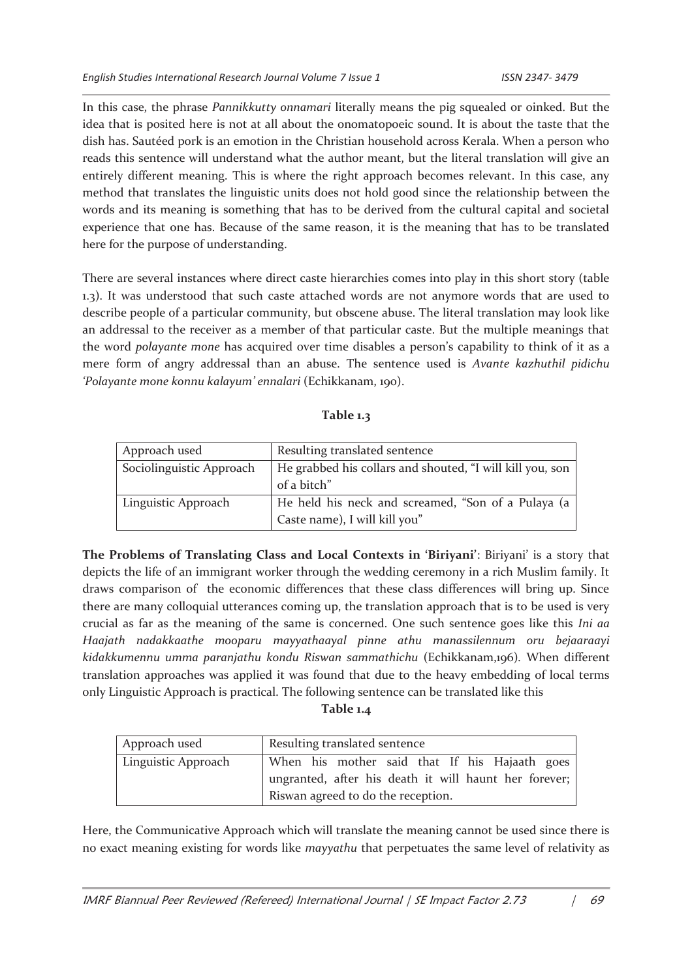In this case, the phrase *Pannikkutty onnamari* literally means the pig squealed or oinked. But the idea that is posited here is not at all about the onomatopoeic sound. It is about the taste that the dish has. Sautéed pork is an emotion in the Christian household across Kerala. When a person who reads this sentence will understand what the author meant, but the literal translation will give an entirely different meaning. This is where the right approach becomes relevant. In this case, any method that translates the linguistic units does not hold good since the relationship between the words and its meaning is something that has to be derived from the cultural capital and societal experience that one has. Because of the same reason, it is the meaning that has to be translated here for the purpose of understanding.

There are several instances where direct caste hierarchies comes into play in this short story (table 1.3). It was understood that such caste attached words are not anymore words that are used to describe people of a particular community, but obscene abuse. The literal translation may look like an addressal to the receiver as a member of that particular caste. But the multiple meanings that the word *polayante mone* has acquired over time disables a person's capability to think of it as a mere form of angry addressal than an abuse. The sentence used is *Avante kazhuthil pidichu 'Polayante mone konnu kalayum' ennalari* (Echikkanam, 190).

#### **Table 1.3**

| Approach used            | Resulting translated sentence                                                       |
|--------------------------|-------------------------------------------------------------------------------------|
| Sociolinguistic Approach | He grabbed his collars and shouted, "I will kill you, son<br>of a bitch"            |
| Linguistic Approach      | He held his neck and screamed, "Son of a Pulaya (a<br>Caste name), I will kill you" |

**The Problems of Translating Class and Local Contexts in 'Biriyani'**: Biriyani' is a story that depicts the life of an immigrant worker through the wedding ceremony in a rich Muslim family. It draws comparison of the economic differences that these class differences will bring up. Since there are many colloquial utterances coming up, the translation approach that is to be used is very crucial as far as the meaning of the same is concerned. One such sentence goes like this *Ini aa Haajath nadakkaathe mooparu mayyathaayal pinne athu manassilennum oru bejaaraayi kidakkumennu umma paranjathu kondu Riswan sammathichu* (Echikkanam,196)*.* When different translation approaches was applied it was found that due to the heavy embedding of local terms only Linguistic Approach is practical. The following sentence can be translated like this

#### **Table 1.4**

| Approach used       | Resulting translated sentence                         |
|---------------------|-------------------------------------------------------|
| Linguistic Approach | When his mother said that If his Hajaath goes         |
|                     | ungranted, after his death it will haunt her forever; |
|                     | Riswan agreed to do the reception.                    |

Here, the Communicative Approach which will translate the meaning cannot be used since there is no exact meaning existing for words like *mayyathu* that perpetuates the same level of relativity as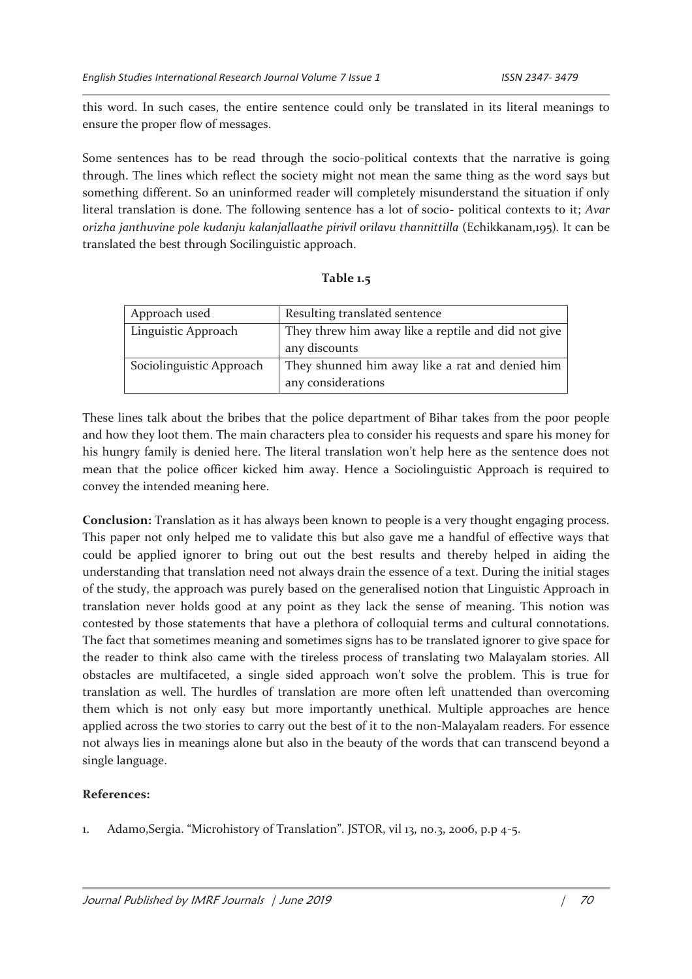this word. In such cases, the entire sentence could only be translated in its literal meanings to ensure the proper flow of messages.

Some sentences has to be read through the socio-political contexts that the narrative is going through. The lines which reflect the society might not mean the same thing as the word says but something different. So an uninformed reader will completely misunderstand the situation if only literal translation is done. The following sentence has a lot of socio- political contexts to it; *Avar orizha janthuvine pole kudanju kalanjallaathe pirivil orilavu thannittilla* (Echikkanam,195)*.* It can be translated the best through Socilinguistic approach.

| Approach used            | Resulting translated sentence                                         |
|--------------------------|-----------------------------------------------------------------------|
| Linguistic Approach      | They threw him away like a reptile and did not give<br>any discounts  |
| Sociolinguistic Approach | They shunned him away like a rat and denied him<br>any considerations |

These lines talk about the bribes that the police department of Bihar takes from the poor people and how they loot them. The main characters plea to consider his requests and spare his money for his hungry family is denied here. The literal translation won't help here as the sentence does not mean that the police officer kicked him away. Hence a Sociolinguistic Approach is required to convey the intended meaning here.

**Conclusion:** Translation as it has always been known to people is a very thought engaging process. This paper not only helped me to validate this but also gave me a handful of effective ways that could be applied ignorer to bring out out the best results and thereby helped in aiding the understanding that translation need not always drain the essence of a text. During the initial stages of the study, the approach was purely based on the generalised notion that Linguistic Approach in translation never holds good at any point as they lack the sense of meaning. This notion was contested by those statements that have a plethora of colloquial terms and cultural connotations. The fact that sometimes meaning and sometimes signs has to be translated ignorer to give space for the reader to think also came with the tireless process of translating two Malayalam stories. All obstacles are multifaceted, a single sided approach won't solve the problem. This is true for translation as well. The hurdles of translation are more often left unattended than overcoming them which is not only easy but more importantly unethical. Multiple approaches are hence applied across the two stories to carry out the best of it to the non-Malayalam readers. For essence not always lies in meanings alone but also in the beauty of the words that can transcend beyond a single language.

## **References:**

1. Adamo,Sergia. "Microhistory of Translation". JSTOR, vil 13, no.3, 2006, p.p 4-5.